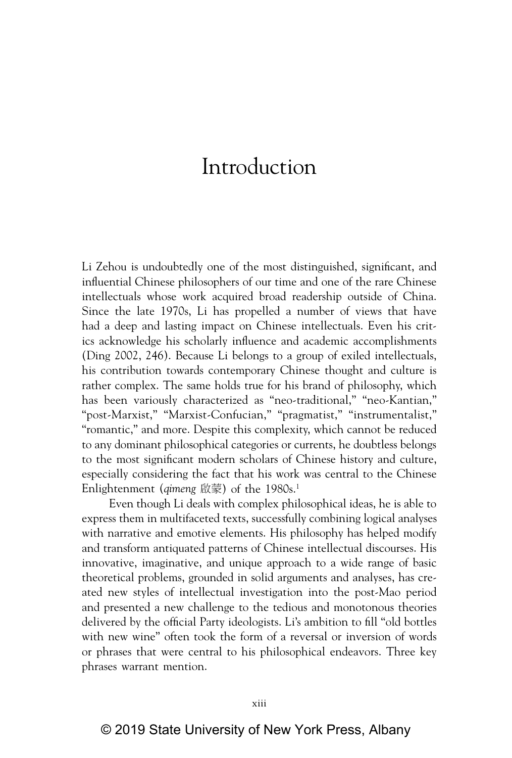## Introduction

Li Zehou is undoubtedly one of the most distinguished, significant, and influential Chinese philosophers of our time and one of the rare Chinese intellectuals whose work acquired broad readership outside of China. Since the late 1970s, Li has propelled a number of views that have had a deep and lasting impact on Chinese intellectuals. Even his critics acknowledge his scholarly influence and academic accomplishments (Ding 2002, 246). Because Li belongs to a group of exiled intellectuals, his contribution towards contemporary Chinese thought and culture is rather complex. The same holds true for his brand of philosophy, which has been variously characterized as "neo-traditional," "neo-Kantian," "post-Marxist," "Marxist-Confucian," "pragmatist," "instrumentalist," "romantic," and more. Despite this complexity, which cannot be reduced to any dominant philosophical categories or currents, he doubtless belongs to the most significant modern scholars of Chinese history and culture, especially considering the fact that his work was central to the Chinese Enlightenment (*qimeng* 啟蒙) of the 1980s.<sup>1</sup>

Even though Li deals with complex philosophical ideas, he is able to express them in multifaceted texts, successfully combining logical analyses with narrative and emotive elements. His philosophy has helped modify and transform antiquated patterns of Chinese intellectual discourses. His innovative, imaginative, and unique approach to a wide range of basic theoretical problems, grounded in solid arguments and analyses, has created new styles of intellectual investigation into the post-Mao period and presented a new challenge to the tedious and monotonous theories delivered by the official Party ideologists. Li's ambition to fill "old bottles with new wine" often took the form of a reversal or inversion of words or phrases that were central to his philosophical endeavors. Three key phrases warrant mention.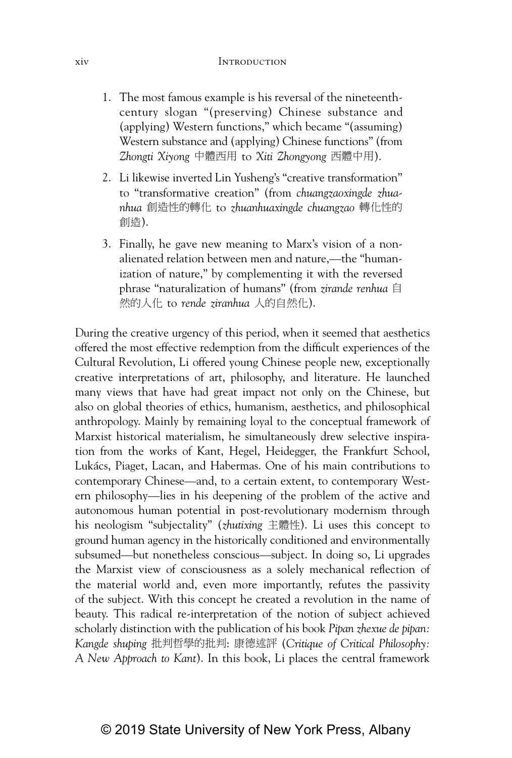## xiv Introduction

- 1. The most famous example is his reversal of the nineteenthcentury slogan "(preserving) Chinese substance and (applying) Western functions," which became "(assuming) Western substance and (applying) Chinese functions" (from Zhongti Xiyong 中體西用 to Xiti Zhongyong 西體中用).
- 2. Li likewise inverted Lin Yusheng's "creative transformation" to "transformative creation" (from *chuangzaoxingde zhua*nhua 創造性的轉化 to zhuanhuaxingde chuangzao 轉化性的 ∝忈).
- 3. Finally, he gave new meaning to Marx's vision of a nonalienated relation between men and nature,—the "humanization of nature," by complementing it with the reversed phrase "naturalization of humans" (from *zirande renhua* 冒 然的人化 to rende ziranhua 人的自然化).

During the creative urgency of this period, when it seemed that aesthetics offered the most effective redemption from the difficult experiences of the Cultural Revolution, Li offered young Chinese people new, exceptionally creative interpretations of art, philosophy, and literature. He launched many views that have had great impact not only on the Chinese, but also on global theories of ethics, humanism, aesthetics, and philosophical anthropology. Mainly by remaining loyal to the conceptual framework of Marxist historical materialism, he simultaneously drew selective inspiration from the works of Kant, Hegel, Heidegger, the Frankfurt School, Lukács, Piaget, Lacan, and Habermas. One of his main contributions to contemporary Chinese—and, to a certain extent, to contemporary Western philosophy—lies in his deepening of the problem of the active and autonomous human potential in post-revolutionary modernism through his neologism "subjectality" (*zhutixing* 主體性). Li uses this concept to ground human agency in the historically conditioned and environmentally subsumed—but nonetheless conscious—subject. In doing so, Li upgrades the Marxist view of consciousness as a solely mechanical reflection of the material world and, even more importantly, refutes the passivity of the subject. With this concept he created a revolution in the name of beauty. This radical re-interpretation of the notion of subject achieved scholarly distinction with the publication of his book *Pipan zhexue de pipan: Kangde shuping* ㈡⇌⒚⬠䘬㈡⇌: ⽟徘姽 (*Critique of Critical Philosophy: A New Approach to Kant*). In this book, Li places the central framework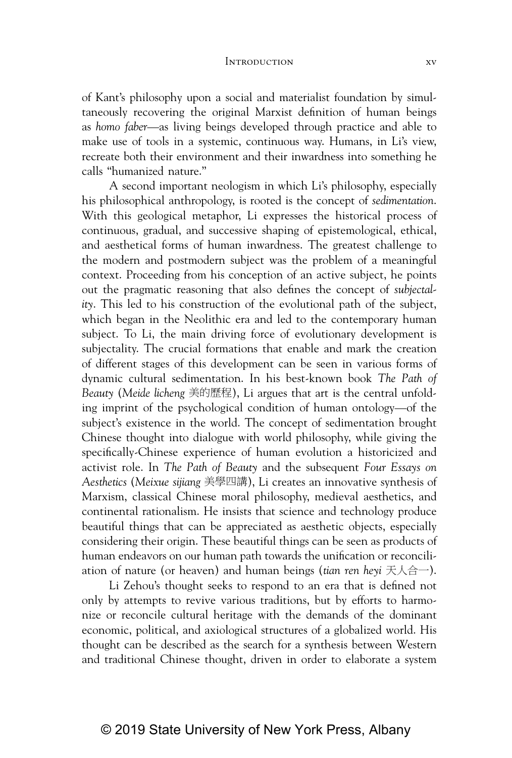## Introduction xv

of Kant's philosophy upon a social and materialist foundation by simultaneously recovering the original Marxist definition of human beings as *homo faber*—as living beings developed through practice and able to make use of tools in a systemic, continuous way. Humans, in Li's view, recreate both their environment and their inwardness into something he calls "humanized nature."

A second important neologism in which Li's philosophy, especially his philosophical anthropology, is rooted is the concept of *sedimentation*. With this geological metaphor, Li expresses the historical process of continuous, gradual, and successive shaping of epistemological, ethical, and aesthetical forms of human inwardness. The greatest challenge to the modern and postmodern subject was the problem of a meaningful context. Proceeding from his conception of an active subject, he points out the pragmatic reasoning that also defines the concept of *subjectality*. This led to his construction of the evolutional path of the subject, which began in the Neolithic era and led to the contemporary human subject. To Li, the main driving force of evolutionary development is subjectality. The crucial formations that enable and mark the creation of different stages of this development can be seen in various forms of dynamic cultural sedimentation. In his best-known book *The Path of Beauty* (Meide licheng 美的歷程), Li argues that art is the central unfolding imprint of the psychological condition of human ontology—of the subject's existence in the world. The concept of sedimentation brought Chinese thought into dialogue with world philosophy, while giving the specifically-Chinese experience of human evolution a historicized and activist role. In *The Path of Beauty* and the subsequent *Four Essays on Aesthetics* (*Meixue sijiang* 伶⬠⚃嫃), Li creates an innovative synthesis of Marxism, classical Chinese moral philosophy, medieval aesthetics, and continental rationalism. He insists that science and technology produce beautiful things that can be appreciated as aesthetic objects, especially considering their origin. These beautiful things can be seen as products of human endeavors on our human path towards the unification or reconciliation of nature (or heaven) and human beings (*tian ren heyi* 天人合一).

Li Zehou's thought seeks to respond to an era that is defined not only by attempts to revive various traditions, but by efforts to harmonize or reconcile cultural heritage with the demands of the dominant economic, political, and axiological structures of a globalized world. His thought can be described as the search for a synthesis between Western and traditional Chinese thought, driven in order to elaborate a system